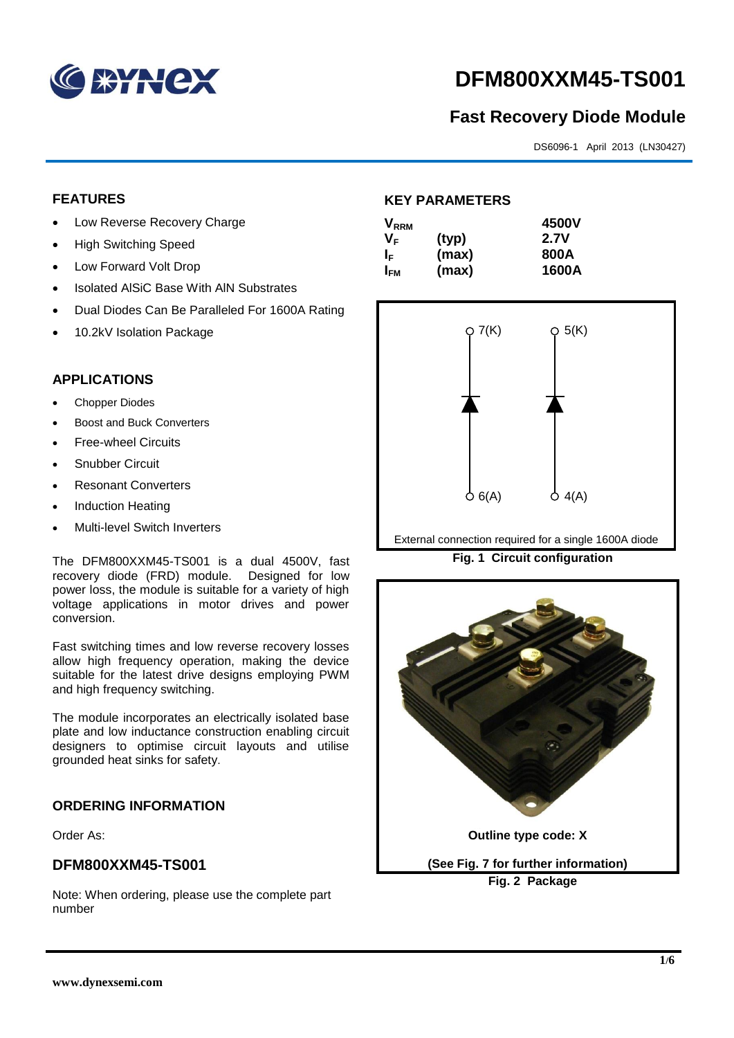

# **DFM800XXM45-TS001**

# **Fast Recovery Diode Module**

DS6096-1 April 2013 (LN30427)

# **FEATURES**

- Low Reverse Recovery Charge
- High Switching Speed
- Low Forward Volt Drop
- Isolated AISiC Base With AIN Substrates
- Dual Diodes Can Be Paralleled For 1600A Rating
- 10.2kV Isolation Package

# **APPLICATIONS**

- Chopper Diodes
- Boost and Buck Converters
- Free-wheel Circuits
- Snubber Circuit
- Resonant Converters
- Induction Heating
- Multi-level Switch Inverters

The DFM800XXM45-TS001 is a dual 4500V, fast recovery diode (FRD) module. Designed for low power loss, the module is suitable for a variety of high voltage applications in motor drives and power conversion.

Fast switching times and low reverse recovery losses allow high frequency operation, making the device suitable for the latest drive designs employing PWM and high frequency switching.

The module incorporates an electrically isolated base plate and low inductance construction enabling circuit designers to optimise circuit layouts and utilise grounded heat sinks for safety.

# **ORDERING INFORMATION**

Order As:

#### **DFM800XXM45-TS001**

Note: When ordering, please use the complete part number

# **KEY PARAMETERS**

| $\mathsf{V}_{\mathsf{RRM}}$ |       | 4500V |
|-----------------------------|-------|-------|
| Vғ                          | (typ) | 2.7V  |
| IF.                         | (max) | 800A  |
| I <sub>FM</sub>             | (max) | 1600A |



External connection required for a single 1600A diode

**Fig. 1 Circuit configuration**

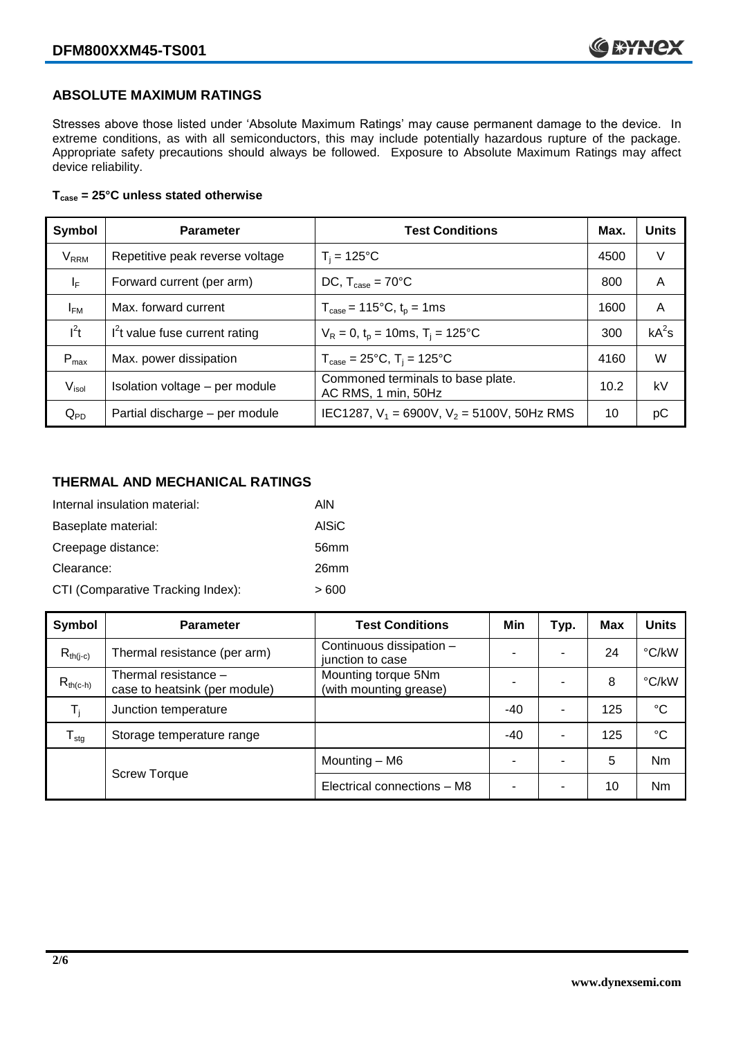### **ABSOLUTE MAXIMUM RATINGS**

Stresses above those listed under 'Absolute Maximum Ratings' may cause permanent damage to the device. In extreme conditions, as with all semiconductors, this may include potentially hazardous rupture of the package. Appropriate safety precautions should always be followed. Exposure to Absolute Maximum Ratings may affect device reliability.

#### **Tcase = 25°C unless stated otherwise**

| Symbol                 | <b>Parameter</b>                | <b>Test Conditions</b>                                                     | Max. | <b>Units</b> |
|------------------------|---------------------------------|----------------------------------------------------------------------------|------|--------------|
| <b>V<sub>RRM</sub></b> | Repetitive peak reverse voltage | $T_i = 125$ °C                                                             | 4500 | V            |
| ΙF                     | Forward current (per arm)       | DC, $T_{\text{case}} = 70^{\circ}$ C                                       | 800  | A            |
| $I_{FM}$               | Max. forward current            | $T_{\text{case}} = 115^{\circ}C$ , $t_p = 1ms$                             | 1600 | A            |
| $I^2t$                 | $I2t$ value fuse current rating | $V_R = 0$ , $t_p = 10$ ms, $T_i = 125$ °C                                  | 300  | $kA^2s$      |
| $P_{max}$              | Max. power dissipation          | $T_{\text{case}} = 25^{\circ}\text{C}, T_{\text{i}} = 125^{\circ}\text{C}$ | 4160 | W            |
| V <sub>isol</sub>      | Isolation voltage - per module  | Commoned terminals to base plate.<br>AC RMS, 1 min, 50Hz                   | 10.2 | kV           |
| $Q_{PD}$               | Partial discharge - per module  | IEC1287, $V_1$ = 6900V, $V_2$ = 5100V, 50Hz RMS                            | 10   | рC           |

#### **THERMAL AND MECHANICAL RATINGS**

| Internal insulation material:     | AIN              |
|-----------------------------------|------------------|
| Baseplate material:               | <b>AISiC</b>     |
| Creepage distance:                | 56 <sub>mm</sub> |
| Clearance:                        | 26 <sub>mm</sub> |
| CTI (Comparative Tracking Index): | > 600            |

| Symbol                     | <b>Parameter</b>                                      | <b>Test Conditions</b>                        | Min   | Typ. | Max | <b>Units</b> |
|----------------------------|-------------------------------------------------------|-----------------------------------------------|-------|------|-----|--------------|
| $R_{th(i-c)}$              | Thermal resistance (per arm)                          | Continuous dissipation -<br>junction to case  | -     |      | 24  | °C/kW        |
| $R_{th(c-h)}$              | Thermal resistance -<br>case to heatsink (per module) | Mounting torque 5Nm<br>(with mounting grease) |       |      | 8   | °C/kW        |
| $T_i$                      | Junction temperature                                  |                                               | $-40$ |      | 125 | $^{\circ}C$  |
| ${\mathsf T}_{\text{stg}}$ | Storage temperature range                             |                                               | $-40$ |      | 125 | $^{\circ}C$  |
|                            |                                                       | Mounting - M6                                 | ٠     |      | 5   | <b>Nm</b>    |
|                            | <b>Screw Torque</b>                                   | Electrical connections - M8                   | -     | -    | 10  | Nm           |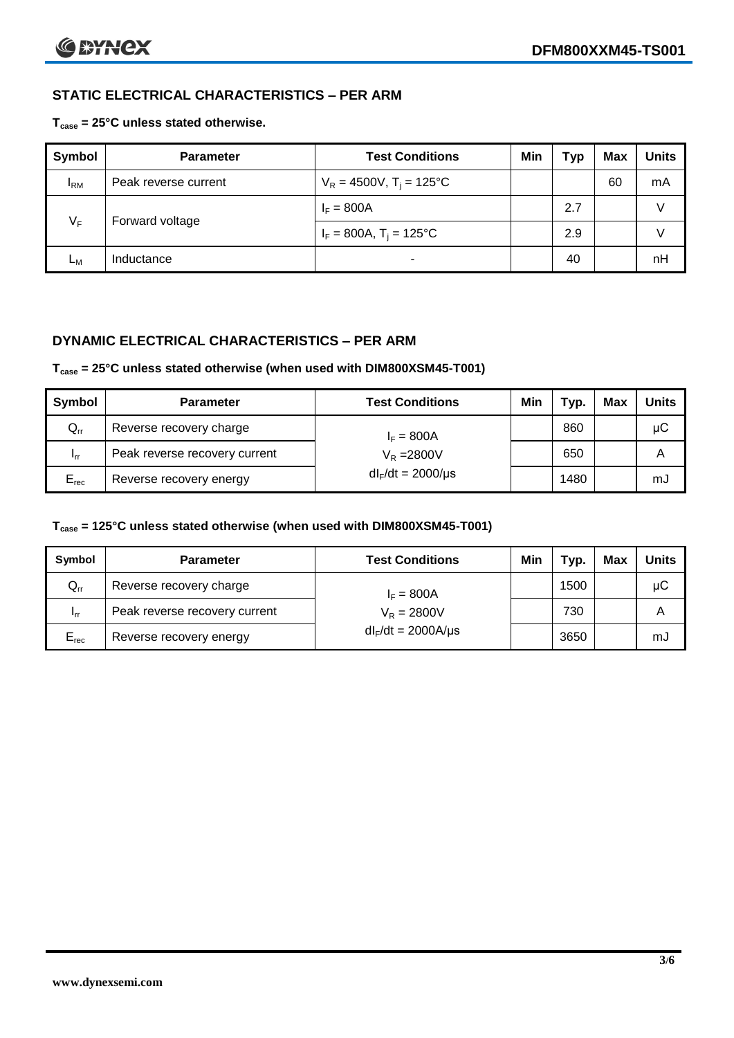# **STATIC ELECTRICAL CHARACTERISTICS – PER ARM**

**Tcase = 25°C unless stated otherwise.**

| Symbol       | <b>Parameter</b>     | <b>Test Conditions</b>                 | Min | Typ | <b>Max</b> | <b>Units</b> |
|--------------|----------------------|----------------------------------------|-----|-----|------------|--------------|
| $I_{\rm RM}$ | Peak reverse current | $V_R = 4500V$ , T <sub>i</sub> = 125°C |     |     | 60         | mA           |
| $V_F$        | Forward voltage      | $I_F = 800A$                           |     | 2.7 |            | V            |
|              |                      | $I_F = 800A$ , $T_i = 125^{\circ}C$    |     | 2.9 |            |              |
| Lм           | Inductance           | $\blacksquare$                         |     | 40  |            | nH           |

# **DYNAMIC ELECTRICAL CHARACTERISTICS – PER ARM**

#### **Tcase = 25°C unless stated otherwise (when used with DIM800XSM45-T001)**

| Symbol          | <b>Parameter</b>              | <b>Test Conditions</b> | Min | Typ. | Max | Units |
|-----------------|-------------------------------|------------------------|-----|------|-----|-------|
| $Q_{rr}$        | Reverse recovery charge       | $I_F = 800A$           |     | 860  |     | μC    |
| 1 <sub>rr</sub> | Peak reverse recovery current | $V_R = 2800V$          |     | 650  |     | Α     |
| $E_{rec}$       | Reverse recovery energy       | $dl_F/dt = 2000/\mu s$ |     | 1480 |     | mJ    |

#### **Tcase = 125°C unless stated otherwise (when used with DIM800XSM45-T001)**

| Symbol                     | <b>Parameter</b>              | <b>Test Conditions</b>  | Min | Typ. | Max | <b>Units</b> |
|----------------------------|-------------------------------|-------------------------|-----|------|-----|--------------|
| $\mathsf{Q}_{\mathsf{rr}}$ | Reverse recovery charge       | $I_F = 800A$            |     | 1500 |     | μC           |
| - Irr                      | Peak reverse recovery current | $V_R = 2800V$           |     | 730  |     | Α            |
| $E_{rec}$                  | Reverse recovery energy       | $dl_F/dt = 2000A/\mu s$ |     | 3650 |     | mJ           |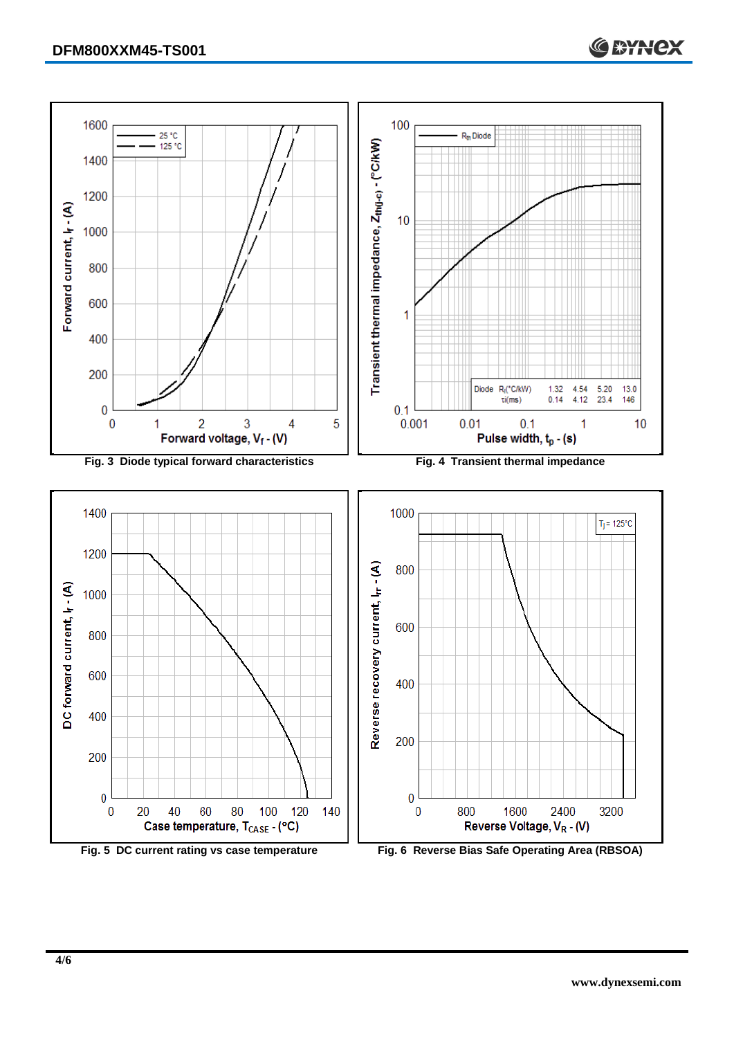



**C BYNCX**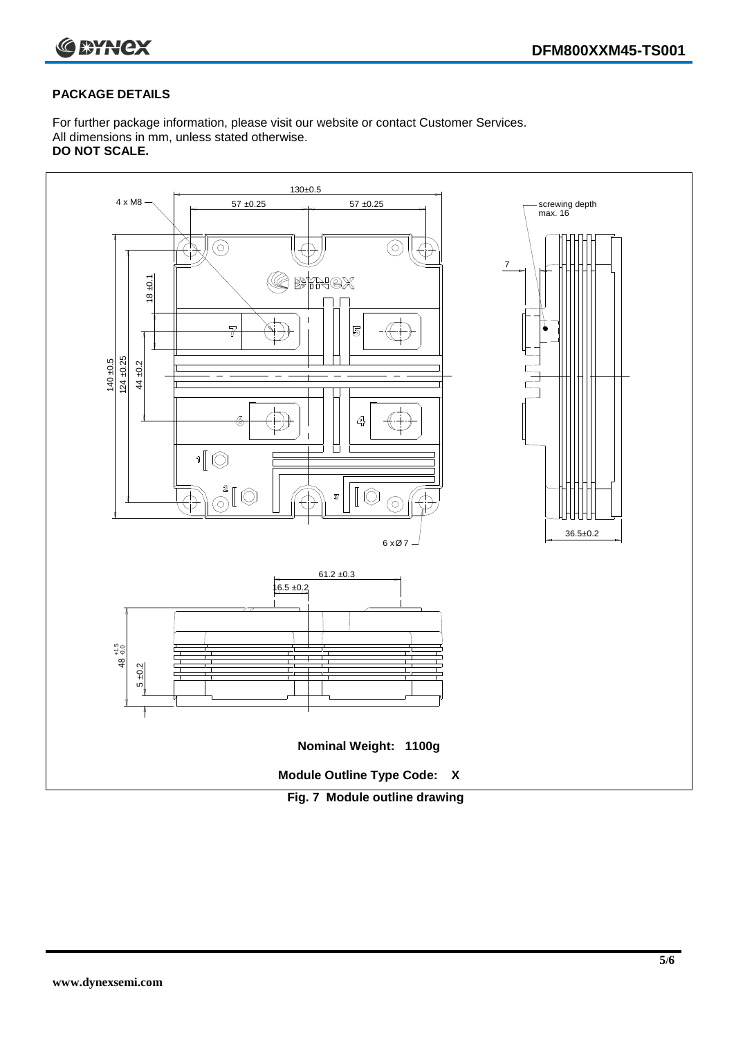

#### **PACKAGE DETAILS**

For further package information, please visit our website or contact Customer Services. All dimensions in mm, unless stated otherwise. **DO NOT SCALE.**